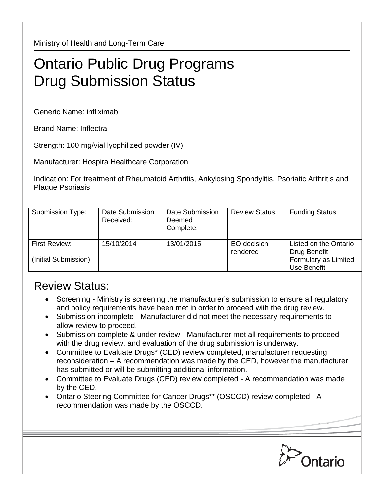Ministry of Health and Long-Term Care

## Ontario Public Drug Programs Drug Submission Status

Generic Name: infliximab

Brand Name: Inflectra

Strength: 100 mg/vial lyophilized powder (IV)

Manufacturer: Hospira Healthcare Corporation

Indication: For treatment of Rheumatoid Arthritis, Ankylosing Spondylitis, Psoriatic Arthritis and Plaque Psoriasis

| Submission Type:                      | Date Submission<br>Received: | Date Submission<br>Deemed<br>Complete: | <b>Review Status:</b>   | <b>Funding Status:</b>                                                       |
|---------------------------------------|------------------------------|----------------------------------------|-------------------------|------------------------------------------------------------------------------|
| First Review:<br>(Initial Submission) | 15/10/2014                   | 13/01/2015                             | EO decision<br>rendered | Listed on the Ontario<br>Drug Benefit<br>Formulary as Limited<br>Use Benefit |

## Review Status:

- Screening Ministry is screening the manufacturer's submission to ensure all regulatory and policy requirements have been met in order to proceed with the drug review.
- Submission incomplete Manufacturer did not meet the necessary requirements to allow review to proceed.
- Submission complete & under review Manufacturer met all requirements to proceed with the drug review, and evaluation of the drug submission is underway.
- Committee to Evaluate Drugs\* (CED) review completed, manufacturer requesting reconsideration – A recommendation was made by the CED, however the manufacturer has submitted or will be submitting additional information.
- Committee to Evaluate Drugs (CED) review completed A recommendation was made by the CED.
- Ontario Steering Committee for Cancer Drugs\*\* (OSCCD) review completed A recommendation was made by the OSCCD.